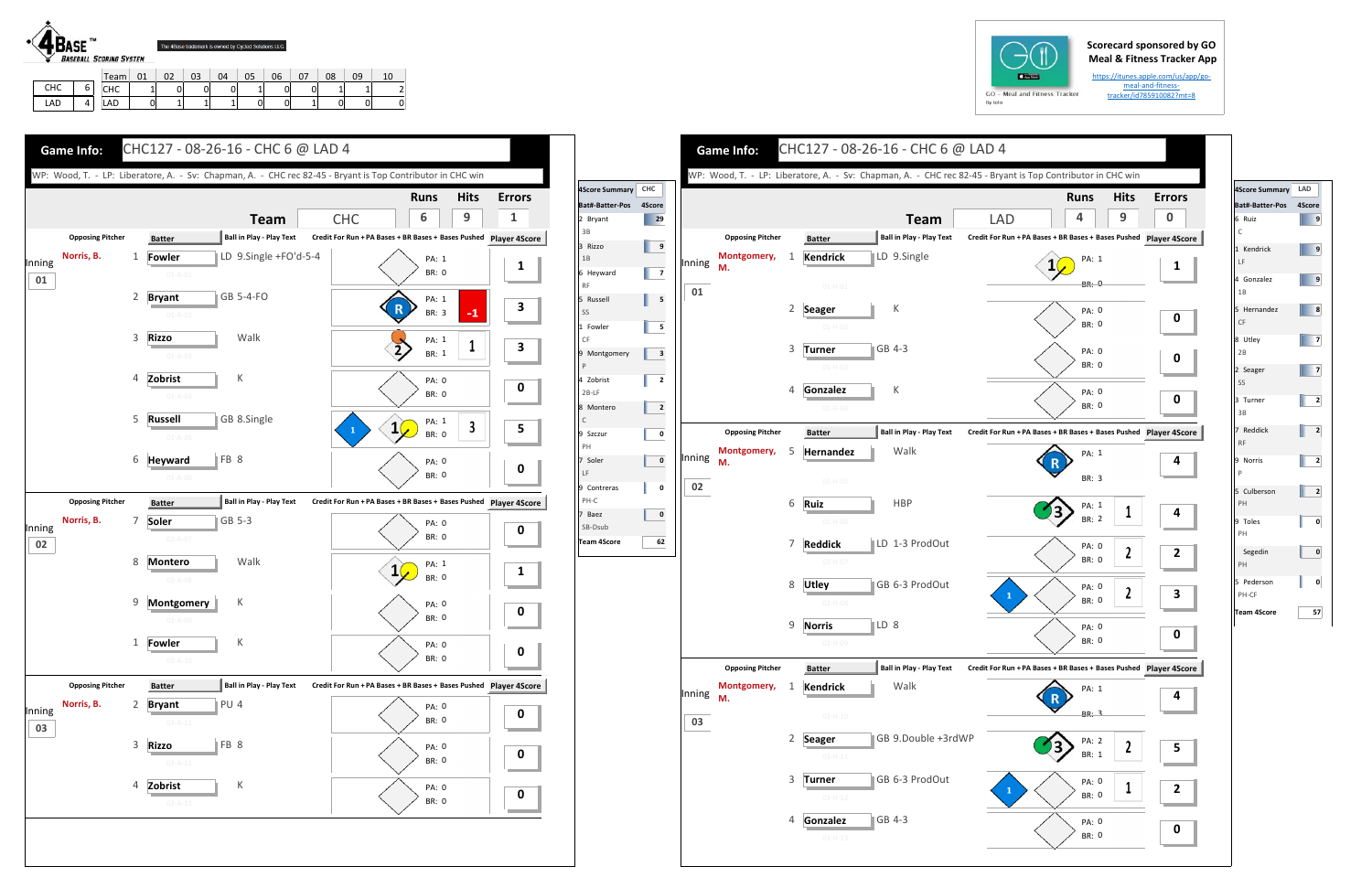## **Scorecard sponsored by GO Meal & Fitness Tracker App**

https://itunes.apple.com/us/app/go‐ meal‐and‐fitness‐ tracker/id785910082?mt=8



|            |   | Team, | n1 |   | ົ<br>ບບ | 04 | 05 | 06 | 07 | 08 | 09 |  |
|------------|---|-------|----|---|---------|----|----|----|----|----|----|--|
| <b>CHC</b> | ∽ | снс   |    | D | 0       | ບ  | -  |    | ັ  | -  | -  |  |
| LAD        |   | LAD   |    |   |         |    |    |    | -  | 0  | 0  |  |





|        |                         |                |                                  | WP: Wood, T. - LP: Liberatore, A. - Sv: Chapman, A. - CHC rec 82-45 - Bryant is Top Contributor in CHC win |                                                               |                       |                  |
|--------|-------------------------|----------------|----------------------------------|------------------------------------------------------------------------------------------------------------|---------------------------------------------------------------|-----------------------|------------------|
|        |                         |                |                                  |                                                                                                            |                                                               | <b>Runs</b>           | <b>Hits</b>      |
|        |                         |                |                                  | <b>Team</b>                                                                                                | <b>LAD</b>                                                    | 4                     | 9                |
|        | <b>Opposing Pitcher</b> |                | <b>Batter</b>                    | Ball in Play - Play Text                                                                                   | Credit For Run + PA Bases + BR Bases + Bases Pushed Player 4S |                       |                  |
| Inning | Montgomery,<br>М.       | 1              | <b>Kendrick</b>                  | LD 9.Single                                                                                                |                                                               | PA: 1                 |                  |
|        |                         |                | $01 - H - 01$                    |                                                                                                            |                                                               | <b>BR: 0</b>          |                  |
| 01     |                         |                |                                  |                                                                                                            |                                                               |                       |                  |
|        |                         | 2              | <b>Seager</b><br>$01-H-02$       | К                                                                                                          |                                                               | PA: 0<br>BR: 0        |                  |
|        |                         |                |                                  |                                                                                                            |                                                               |                       |                  |
|        |                         | 3              | <b>Turner</b><br>$01-H-03$       | GB 4-3                                                                                                     |                                                               | PA: 0<br>BR: 0        |                  |
|        |                         |                |                                  |                                                                                                            |                                                               |                       |                  |
|        |                         | 4              | Gonzalez                         | К                                                                                                          |                                                               | PA: 0<br><b>BR: 0</b> |                  |
|        |                         |                | $01 - H - 04$                    |                                                                                                            |                                                               |                       |                  |
|        | <b>Opposing Pitcher</b> |                | <b>Batter</b>                    | <b>Ball in Play - Play Text</b>                                                                            | Credit For Run + PA Bases + BR Bases + Bases Pushed Player 4S |                       |                  |
| Inning | Montgomery,<br>М.       | 5              | Hernandez                        | Walk                                                                                                       |                                                               | PA: 1                 |                  |
|        |                         |                | $02-H-05$                        |                                                                                                            |                                                               | BR: 3                 |                  |
| 02     |                         | 6              | Ruiz                             | <b>HBP</b>                                                                                                 |                                                               | PA: 1                 |                  |
|        |                         |                | $02-H-06$                        |                                                                                                            |                                                               | <b>BR: 2</b>          | 1                |
|        |                         | 7              | <b>Reddick</b>                   | LD 1-3 ProdOut                                                                                             |                                                               | PA: 0                 |                  |
|        |                         |                | $02-H-07$                        |                                                                                                            |                                                               | <b>BR: 0</b>          | 2                |
|        |                         | 8              | <b>Utley</b>                     | GB 6-3 ProdOut                                                                                             |                                                               | PA: 0                 |                  |
|        |                         |                | $02-H-08$                        |                                                                                                            | 1                                                             | BR: 0                 | $\boldsymbol{2}$ |
|        |                         | 9              | <b>Norris</b>                    | $\parallel$ LD 8                                                                                           |                                                               |                       |                  |
|        |                         |                | 02-H-09                          |                                                                                                            |                                                               | PA: 0<br><b>BR: 0</b> |                  |
|        | <b>Opposing Pitcher</b> |                |                                  | <b>Ball in Play - Play Text</b>                                                                            | Credit For Run + PA Bases + BR Bases + Bases Pushed Player 4S |                       |                  |
|        | Montgomery,             | 1              | <b>Batter</b><br><b>Kendrick</b> | Walk                                                                                                       |                                                               |                       |                  |
| Inning | M.                      |                |                                  |                                                                                                            |                                                               | PA: 1                 |                  |
| 03     |                         |                | $03-H-10$                        |                                                                                                            |                                                               | BR: 3                 |                  |
|        |                         | $\overline{2}$ | <b>Seager</b>                    | GB 9.Double +3rdWP                                                                                         |                                                               | PA: 2                 |                  |
|        |                         |                | $03 - H - 11$                    |                                                                                                            |                                                               | BR: 1                 | 2                |
|        |                         | 3              | <b>Turner</b>                    | GB 6-3 ProdOut                                                                                             |                                                               | PA: 0                 |                  |
|        |                         |                | $03-H-12$                        |                                                                                                            | 1                                                             | <b>BR: 0</b>          | 1                |
|        |                         | 4              | Gonzalez                         | GB 4-3                                                                                                     |                                                               | PA: 0                 |                  |



| 4Score Summary LAD     |        |
|------------------------|--------|
| Bat#-Batter-Pos        | 4Score |
| 6 Ruiz<br>$\mathsf{C}$ | 9      |
| 1 Kendrick<br>LF       | 9      |
| 4 Gonzalez<br>1B       | 9      |
| 5 Hernandez<br>CF      | 8      |
| 8 Utley<br>2B          | 7      |
| 2 Seager<br>SS         | 7      |
| 3 Turner<br>3B         | 2      |
| 7 Reddick<br><b>RF</b> | 2      |
| 9 Norris<br>P          | 2      |
| 5 Culberson<br>PH      | 2      |
| 9 Toles<br>PH          | 0      |
| Segedin<br>PH          | 0      |
| 5 Pederson<br>PH-CF    | 0      |
| <b>Team 4Score</b>     | 57     |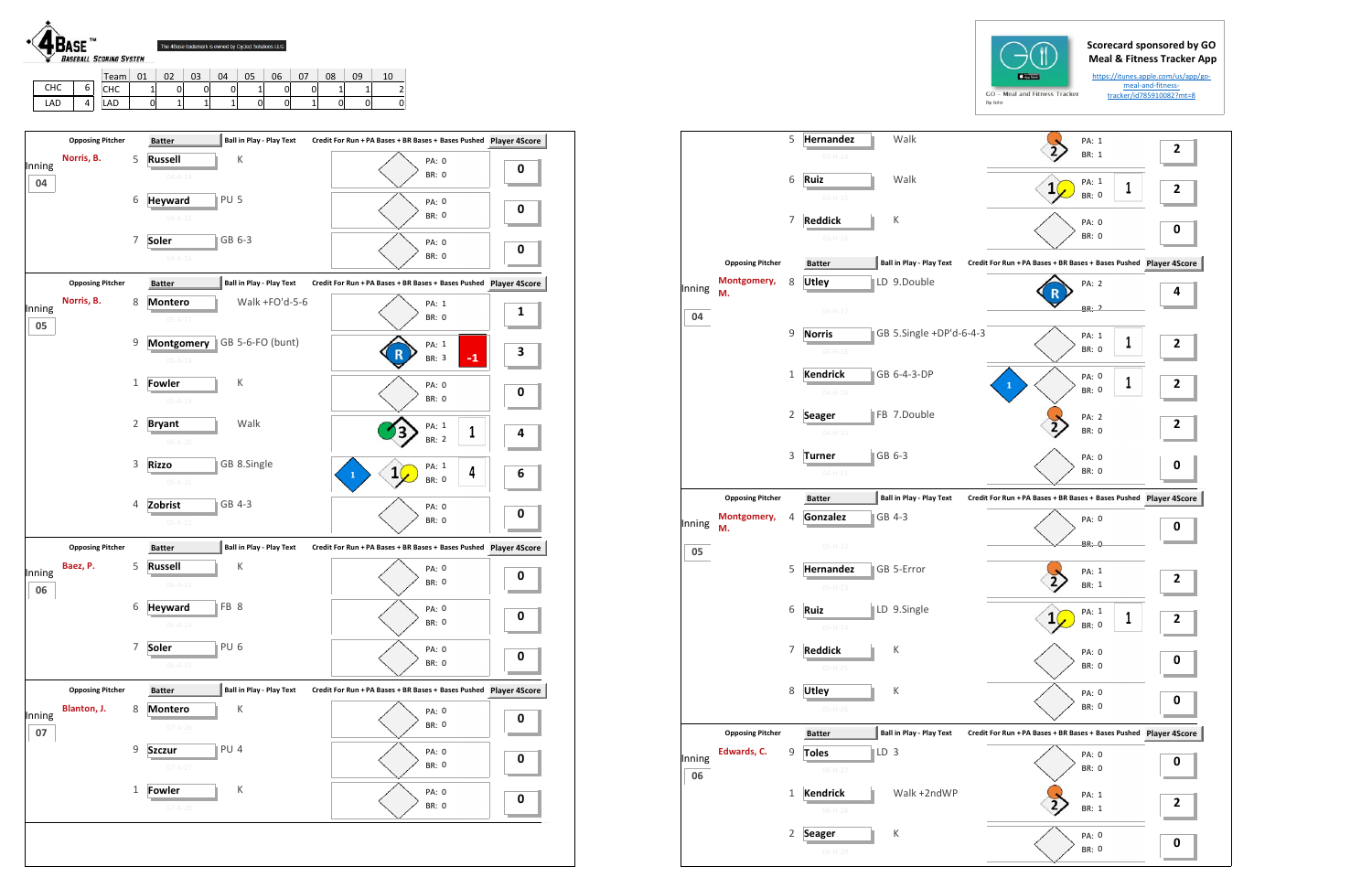

|     | $T$ eam           | 01 | റാ<br>UZ | 03 | 04 | 05 | 06 | $\sim$<br>ັ | 08 | 09 |  |
|-----|-------------------|----|----------|----|----|----|----|-------------|----|----|--|
| снс | <b>CUC</b><br>unu |    | ⌒<br>U.  | 0  | U  |    |    |             | -  | -  |  |
| LAD | LAD               | 0  | -        | -  |    | 0  |    |             | 0  | ັ  |  |

|        |                         | 5            | Hernandez<br>$03 - H - 14$ |                 | Walk                            |                                                               | PA: 1<br><b>BR: 1</b> | 2              |
|--------|-------------------------|--------------|----------------------------|-----------------|---------------------------------|---------------------------------------------------------------|-----------------------|----------------|
|        |                         |              |                            |                 |                                 |                                                               |                       |                |
|        |                         | 6            | Ruiz                       |                 | Walk                            | $\mathbf{1}$                                                  | PA: 1<br>1            | 2              |
|        |                         |              | $03-H-15$                  |                 |                                 |                                                               | <b>BR: 0</b>          |                |
|        |                         | 7            | <b>Reddick</b>             |                 | К                               |                                                               | PA: 0                 |                |
|        |                         |              | $03-H-16$                  |                 |                                 |                                                               | <b>BR: 0</b>          | 0              |
|        | <b>Opposing Pitcher</b> |              | <b>Batter</b>              |                 | <b>Ball in Play - Play Text</b> | Credit For Run + PA Bases + BR Bases + Bases Pushed Player 4S |                       |                |
|        | Montgomery,             | 8            | <b>Utley</b>               |                 | LD 9.Double                     |                                                               | PA: 2                 |                |
| Inning | М.                      |              |                            |                 |                                 |                                                               |                       | 4              |
| 04     |                         |              | $04 - H - 17$              |                 |                                 |                                                               | BR: 2                 |                |
|        |                         | 9            | <b>Norris</b>              |                 | GB 5.Single +DP'd-6-4-3         |                                                               | PA: 1                 |                |
|        |                         |              | $04 - H - 18$              |                 |                                 |                                                               | 1<br>BR: 0            | 2              |
|        |                         |              |                            |                 |                                 |                                                               |                       |                |
|        |                         | $\mathbf{1}$ | <b>Kendrick</b>            |                 | GB 6-4-3-DP                     |                                                               | PA: 0                 |                |
|        |                         |              | $04 - H - 19$              |                 |                                 | 1                                                             | 1<br>BR: 0            | 2              |
|        |                         |              |                            |                 |                                 |                                                               |                       |                |
|        |                         | 2            | <b>Seager</b>              |                 | FB 7.Double                     |                                                               | <b>PA: 2</b>          | 2              |
|        |                         |              | $04-H-20$                  |                 |                                 |                                                               | <b>BR: 0</b>          |                |
|        |                         |              |                            |                 |                                 |                                                               |                       |                |
|        |                         | 3            | Turner                     | GB 6-3          |                                 |                                                               | PA: 0                 | 0              |
|        |                         |              | $04 - H - 21$              |                 |                                 |                                                               | <b>BR: 0</b>          |                |
|        | <b>Opposing Pitcher</b> |              | <b>Batter</b>              |                 | <b>Ball in Play - Play Text</b> | Credit For Run + PA Bases + BR Bases + Bases Pushed Player 4S |                       |                |
|        | Montgomery,             | 4            | Gonzalez                   |                 | GB 4-3                          |                                                               | PA: 0                 |                |
| Inning | M.                      |              |                            |                 |                                 |                                                               |                       | 0              |
| 05     |                         |              | $05-H-22$                  |                 |                                 |                                                               | BR: 0                 |                |
|        |                         | 5            | Hernandez                  |                 | GB 5-Error                      |                                                               | PA: 1                 |                |
|        |                         |              |                            |                 |                                 |                                                               | BR: 1                 | 2              |
|        |                         |              | $05-H-23$                  |                 |                                 |                                                               |                       |                |
|        |                         | 6            | Ruiz                       |                 | LD 9.Single                     | 1(                                                            | PA: 1<br>1            |                |
|        |                         |              | $05-H-24$                  |                 |                                 |                                                               | BR: O                 | $\overline{2}$ |
|        |                         |              |                            |                 |                                 |                                                               |                       |                |
|        |                         | 7            | <b>Reddick</b>             |                 | К                               |                                                               | PA: 0                 | 0              |
|        |                         |              | $05-H-25$                  |                 |                                 |                                                               | <b>BR: 0</b>          |                |
|        |                         | 8            |                            |                 | К                               |                                                               |                       |                |
|        |                         |              | <b>Utley</b>               |                 |                                 |                                                               | PA: 0                 | 0              |
|        |                         |              | $05-H-26$                  |                 |                                 |                                                               | BR: 0                 |                |
|        | <b>Opposing Pitcher</b> |              | <b>Batter</b>              |                 | <b>Ball in Play - Play Text</b> | Credit For Run + PA Bases + BR Bases + Bases Pushed Player 4S |                       |                |
|        | Edwards, C.             | 9            | <b>Toles</b>               | $\mathbb{ID} 3$ |                                 |                                                               | PA: 0                 |                |
| Inning |                         |              | $06-H-27$                  |                 |                                 |                                                               | BR: 0                 | 0              |
| 06     |                         |              |                            |                 |                                 |                                                               |                       |                |
|        |                         | $\mathbf{1}$ | <b>Kendrick</b>            |                 | Walk +2ndWP                     |                                                               | PA: 1                 |                |
|        |                         |              | $06-H-28$                  |                 |                                 |                                                               | BR: 1                 | 2              |
|        |                         |              |                            |                 |                                 |                                                               |                       |                |
|        |                         |              |                            |                 |                                 |                                                               |                       |                |
|        |                         | 2            | <b>Seager</b>              |                 | К                               |                                                               | PA: 0                 | 0              |



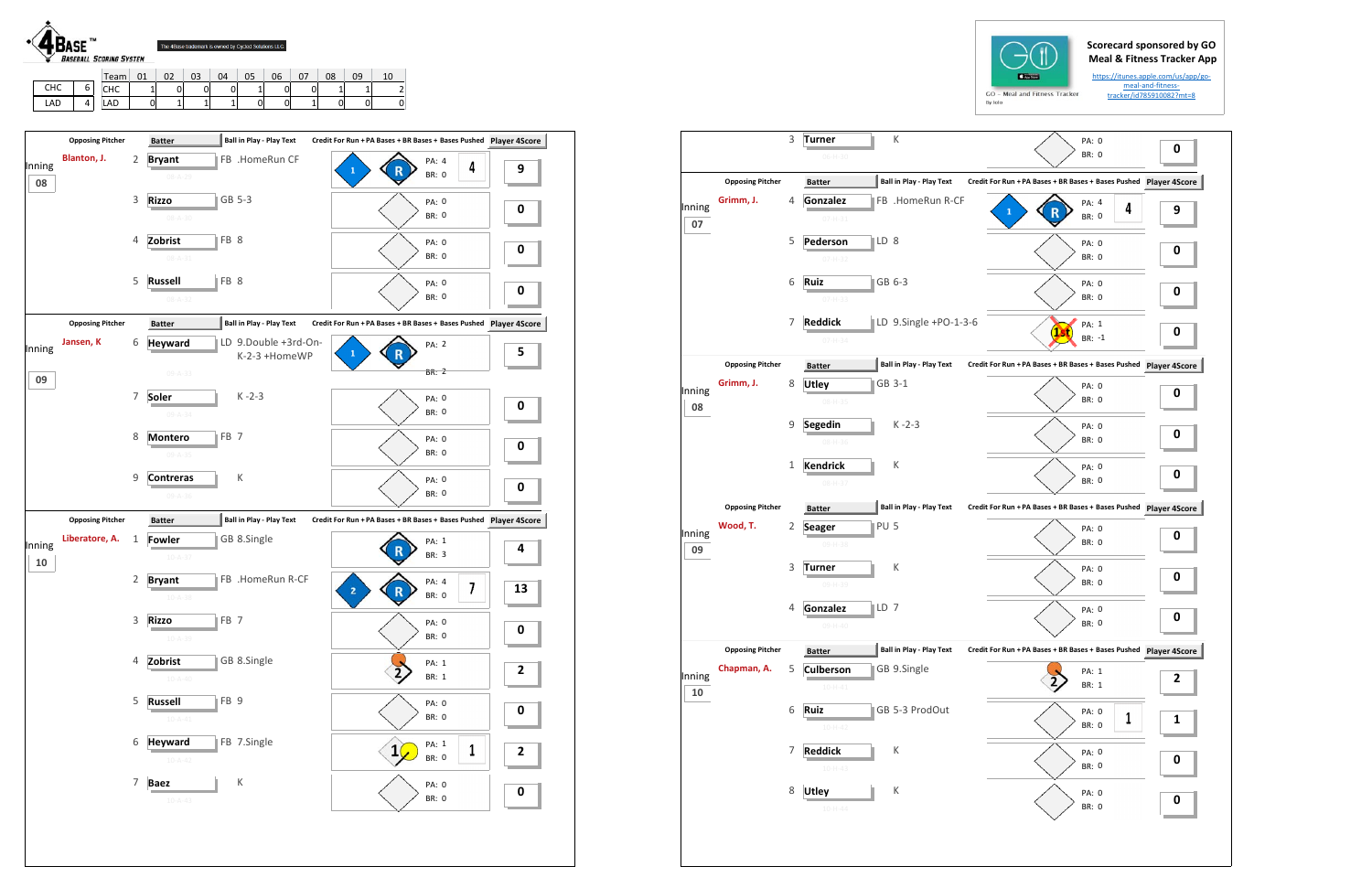## **Scorecard sponsored by GO Meal & Fitness Tracker App**

https://itunes.apple.com/us/app/go‐ meal‐and‐fitness‐ tracker/id785910082?mt=8



LAD 0 1 1 1 0 0 1 0 0 0

LAD 4

|              |                         | 3            | К<br><b>Turner</b><br>PA: 0<br><b>BR: 0</b><br>06-H-30                                                            | 0 |
|--------------|-------------------------|--------------|-------------------------------------------------------------------------------------------------------------------|---|
|              | <b>Opposing Pitcher</b> |              | <b>Ball in Play - Play Text</b><br>Credit For Run + PA Bases + BR Bases + Bases Pushed Player 4S<br><b>Batter</b> |   |
| Inning<br>07 | Grimm, J.               | 4            | Gonzalez<br>FB .HomeRun R-CF<br>PA: 4<br>4<br>1<br><b>BR: 0</b><br>$07 - H - 31$                                  | 9 |
|              |                         | 5            | LD 8<br>Pederson<br>PA: 0<br><b>BR: 0</b><br>$07-H-32$                                                            | 0 |
|              |                         | 6            | GB 6-3<br>Ruiz<br>PA: 0<br><b>BR: 0</b><br>$07 - H - 33$                                                          | 0 |
|              |                         | 7            | LD 9.Single +PO-1-3-6<br><b>Reddick</b><br>PA: 1<br>BR: -1<br>$07 - H - 34$                                       | 0 |
|              | <b>Opposing Pitcher</b> |              | <b>Ball in Play - Play Text</b><br>Credit For Run + PA Bases + BR Bases + Bases Pushed Player 4S<br><b>Batter</b> |   |
| Inning<br>08 | Grimm, J.               | 8            | GB 3-1<br><b>Utley</b><br>PA: 0<br><b>BR: 0</b><br>08-H-35                                                        | 0 |
|              |                         | 9            | $K - 2 - 3$<br><b>Segedin</b><br>PA: 0<br>BR: 0<br>08-H-36                                                        | 0 |
|              |                         | $\mathbf{1}$ | <b>Kendrick</b><br>К<br>PA: 0<br><b>BR: 0</b><br>08-H-37                                                          | 0 |
|              | <b>Opposing Pitcher</b> |              | <b>Ball in Play - Play Text</b><br>Credit For Run + PA Bases + BR Bases + Bases Pushed Player 4S<br><b>Batter</b> |   |
| Inning<br>09 | Wood, T.                | 2            | PU <sub>5</sub><br><b>Seager</b><br>PA: 0<br><b>BR: 0</b><br>09-H-38                                              | 0 |
|              |                         | 3            | К<br>Turner<br>PA: 0<br><b>BR: 0</b><br>09-H-39                                                                   | 0 |
|              |                         | 4            | LD 7<br>Gonzalez<br>PA: 0<br>BR: 0                                                                                | 0 |
|              | <b>Opposing Pitcher</b> |              | <b>Ball in Play - Play Text</b><br>Credit For Run + PA Bases + BR Bases + Bases Pushed Player 4S<br><b>Batter</b> |   |
| Inning<br>10 | Chapman, A.             | 5            | GB 9.Single<br><b>Culberson</b><br>PA: 1<br>BR: 1<br>$10 - H - 41$                                                | 2 |
|              |                         | 6            | GB 5-3 ProdOut<br>Ruiz<br>PA: 0<br>1<br>BR: 0<br>$10-H-42$                                                        | 1 |
|              |                         | 7            | <b>Reddick</b><br>Κ<br>PA: 0<br>BR: 0<br>$10-H-43$                                                                | 0 |
|              |                         | 8            | К<br><b>Utley</b><br>PA: 0<br>BR: 0<br>$10 - H - 44$                                                              | 0 |
|              |                         |              |                                                                                                                   |   |





| Blanton, J.<br>$\overline{2}$<br>FB .HomeRun CF<br><b>Bryant</b><br>PA: 4<br>Inning<br>4<br>9<br>R<br><b>BR: 0</b><br>$08 - A - 29$<br>08<br>3<br>GB 5-3<br><b>Rizzo</b><br>PA: 0<br>0<br><b>BR: 0</b><br>$08 - A - 30$<br>FB 8<br>Zobrist<br>4<br>PA: 0<br>0<br><b>BR: 0</b><br>$08 - A - 31$<br>5<br>FB 8<br><b>Russell</b><br>PA: 0<br>0<br><b>BR: 0</b><br>$08 - A - 32$<br><b>Ball in Play - Play Text</b><br>Credit For Run + PA Bases + BR Bases + Bases Pushed Player 4Score<br><b>Opposing Pitcher</b><br><b>Batter</b><br>Jansen, K<br>LD 9.Double +3rd-On-<br>6<br><b>Heyward</b><br>PA: 2<br>Inning<br>5<br>$\mathbf{1}$<br>K-2-3 +HomeWP<br><b>BR: 2</b><br>$09 - A - 33$<br>09<br>Soler<br>$K - 2 - 3$<br>7<br>PA: 0<br>0<br><b>BR: 0</b><br>$09 - A - 34$<br>FB <sub>7</sub><br>8<br><b>Montero</b><br>PA: 0<br>0<br>BR: 0<br>$09 - A - 35$<br>К<br>9<br><b>Contreras</b><br>PA: 0<br>0<br><b>BR: 0</b><br>09-A-36<br><b>Opposing Pitcher</b><br><b>Ball in Play - Play Text</b><br>Credit For Run + PA Bases + BR Bases + Bases Pushed Player 4Score<br><b>Batter</b><br>Liberatore, A.<br>GB 8.Single<br>$\mathbf{1}$<br><b>Fowler</b><br>PA: 1<br>Inning<br>4<br>R<br><b>BR: 3</b><br>$10 - A - 37$<br>${\bf 10}$<br>FB .HomeRun R-CF<br>2<br><b>Bryant</b><br>PA: 4<br>7<br>13<br>$\overline{2}$<br>$\mathsf R$<br><b>BR: 0</b><br>$10 - A - 38$<br>FB <sub>7</sub><br>3<br><b>Rizzo</b><br>PA: 0<br>$\bf{0}$<br><b>BR: 0</b><br>$10 - A - 39$<br>GB 8.Single<br>Zobrist<br>4<br>PA: 1<br>2<br>BR: 1<br>$10 - A - 40$<br>5<br><b>Russell</b><br>FB <sub>9</sub><br>PA: 0<br>0<br>BR: 0<br>$10 - A - 41$<br>FB 7.Single<br>6<br><b>Heyward</b><br>PA: 1<br>1<br>$\mathbf{1}$<br>2<br>BR: 0<br>$10 - A - 42$<br>$\sf K$<br>$\overline{7}$<br><b>Baez</b><br>PA: 0<br>0 | <b>Opposing Pitcher</b> | <b>Batter</b> | <b>Ball in Play - Play Text</b> |              |  |
|-----------------------------------------------------------------------------------------------------------------------------------------------------------------------------------------------------------------------------------------------------------------------------------------------------------------------------------------------------------------------------------------------------------------------------------------------------------------------------------------------------------------------------------------------------------------------------------------------------------------------------------------------------------------------------------------------------------------------------------------------------------------------------------------------------------------------------------------------------------------------------------------------------------------------------------------------------------------------------------------------------------------------------------------------------------------------------------------------------------------------------------------------------------------------------------------------------------------------------------------------------------------------------------------------------------------------------------------------------------------------------------------------------------------------------------------------------------------------------------------------------------------------------------------------------------------------------------------------------------------------------------------------------------------------------------------------------------------------------------------------------------------------------------------|-------------------------|---------------|---------------------------------|--------------|--|
|                                                                                                                                                                                                                                                                                                                                                                                                                                                                                                                                                                                                                                                                                                                                                                                                                                                                                                                                                                                                                                                                                                                                                                                                                                                                                                                                                                                                                                                                                                                                                                                                                                                                                                                                                                                         |                         |               |                                 |              |  |
|                                                                                                                                                                                                                                                                                                                                                                                                                                                                                                                                                                                                                                                                                                                                                                                                                                                                                                                                                                                                                                                                                                                                                                                                                                                                                                                                                                                                                                                                                                                                                                                                                                                                                                                                                                                         |                         |               |                                 |              |  |
|                                                                                                                                                                                                                                                                                                                                                                                                                                                                                                                                                                                                                                                                                                                                                                                                                                                                                                                                                                                                                                                                                                                                                                                                                                                                                                                                                                                                                                                                                                                                                                                                                                                                                                                                                                                         |                         |               |                                 |              |  |
|                                                                                                                                                                                                                                                                                                                                                                                                                                                                                                                                                                                                                                                                                                                                                                                                                                                                                                                                                                                                                                                                                                                                                                                                                                                                                                                                                                                                                                                                                                                                                                                                                                                                                                                                                                                         |                         |               |                                 |              |  |
|                                                                                                                                                                                                                                                                                                                                                                                                                                                                                                                                                                                                                                                                                                                                                                                                                                                                                                                                                                                                                                                                                                                                                                                                                                                                                                                                                                                                                                                                                                                                                                                                                                                                                                                                                                                         |                         |               |                                 |              |  |
|                                                                                                                                                                                                                                                                                                                                                                                                                                                                                                                                                                                                                                                                                                                                                                                                                                                                                                                                                                                                                                                                                                                                                                                                                                                                                                                                                                                                                                                                                                                                                                                                                                                                                                                                                                                         |                         |               |                                 |              |  |
|                                                                                                                                                                                                                                                                                                                                                                                                                                                                                                                                                                                                                                                                                                                                                                                                                                                                                                                                                                                                                                                                                                                                                                                                                                                                                                                                                                                                                                                                                                                                                                                                                                                                                                                                                                                         |                         |               |                                 |              |  |
|                                                                                                                                                                                                                                                                                                                                                                                                                                                                                                                                                                                                                                                                                                                                                                                                                                                                                                                                                                                                                                                                                                                                                                                                                                                                                                                                                                                                                                                                                                                                                                                                                                                                                                                                                                                         |                         |               |                                 |              |  |
|                                                                                                                                                                                                                                                                                                                                                                                                                                                                                                                                                                                                                                                                                                                                                                                                                                                                                                                                                                                                                                                                                                                                                                                                                                                                                                                                                                                                                                                                                                                                                                                                                                                                                                                                                                                         |                         |               |                                 |              |  |
|                                                                                                                                                                                                                                                                                                                                                                                                                                                                                                                                                                                                                                                                                                                                                                                                                                                                                                                                                                                                                                                                                                                                                                                                                                                                                                                                                                                                                                                                                                                                                                                                                                                                                                                                                                                         |                         |               |                                 |              |  |
|                                                                                                                                                                                                                                                                                                                                                                                                                                                                                                                                                                                                                                                                                                                                                                                                                                                                                                                                                                                                                                                                                                                                                                                                                                                                                                                                                                                                                                                                                                                                                                                                                                                                                                                                                                                         |                         |               |                                 |              |  |
|                                                                                                                                                                                                                                                                                                                                                                                                                                                                                                                                                                                                                                                                                                                                                                                                                                                                                                                                                                                                                                                                                                                                                                                                                                                                                                                                                                                                                                                                                                                                                                                                                                                                                                                                                                                         |                         |               |                                 |              |  |
|                                                                                                                                                                                                                                                                                                                                                                                                                                                                                                                                                                                                                                                                                                                                                                                                                                                                                                                                                                                                                                                                                                                                                                                                                                                                                                                                                                                                                                                                                                                                                                                                                                                                                                                                                                                         |                         |               |                                 |              |  |
|                                                                                                                                                                                                                                                                                                                                                                                                                                                                                                                                                                                                                                                                                                                                                                                                                                                                                                                                                                                                                                                                                                                                                                                                                                                                                                                                                                                                                                                                                                                                                                                                                                                                                                                                                                                         |                         |               |                                 |              |  |
|                                                                                                                                                                                                                                                                                                                                                                                                                                                                                                                                                                                                                                                                                                                                                                                                                                                                                                                                                                                                                                                                                                                                                                                                                                                                                                                                                                                                                                                                                                                                                                                                                                                                                                                                                                                         |                         |               |                                 |              |  |
|                                                                                                                                                                                                                                                                                                                                                                                                                                                                                                                                                                                                                                                                                                                                                                                                                                                                                                                                                                                                                                                                                                                                                                                                                                                                                                                                                                                                                                                                                                                                                                                                                                                                                                                                                                                         |                         |               |                                 |              |  |
|                                                                                                                                                                                                                                                                                                                                                                                                                                                                                                                                                                                                                                                                                                                                                                                                                                                                                                                                                                                                                                                                                                                                                                                                                                                                                                                                                                                                                                                                                                                                                                                                                                                                                                                                                                                         |                         |               |                                 |              |  |
|                                                                                                                                                                                                                                                                                                                                                                                                                                                                                                                                                                                                                                                                                                                                                                                                                                                                                                                                                                                                                                                                                                                                                                                                                                                                                                                                                                                                                                                                                                                                                                                                                                                                                                                                                                                         |                         | $10 - A - 43$ |                                 | <b>BR: 0</b> |  |